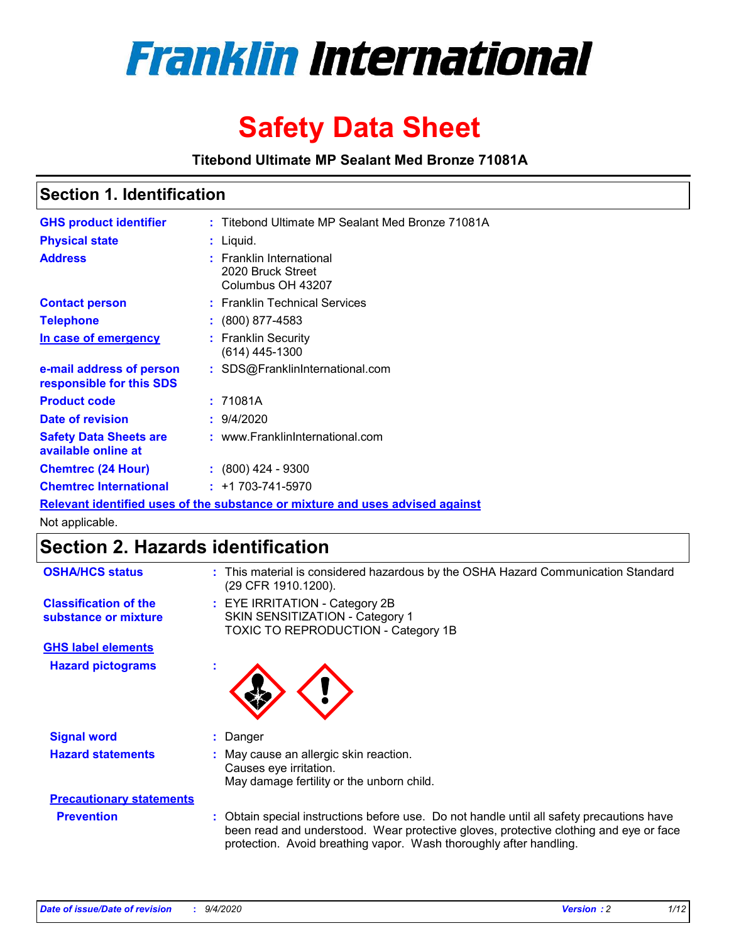

# **Safety Data Sheet**

**Titebond Ultimate MP Sealant Med Bronze 71081A**

### **Section 1. Identification**

| <b>GHS product identifier</b>                        | : Titebond Ultimate MP Sealant Med Bronze 71081A                              |
|------------------------------------------------------|-------------------------------------------------------------------------------|
| <b>Physical state</b>                                | : Liquid.                                                                     |
| <b>Address</b>                                       | : Franklin International<br>2020 Bruck Street<br>Columbus OH 43207            |
| <b>Contact person</b>                                | : Franklin Technical Services                                                 |
| <b>Telephone</b>                                     | $\colon$ (800) 877-4583                                                       |
| In case of emergency                                 | : Franklin Security<br>(614) 445-1300                                         |
| e-mail address of person<br>responsible for this SDS | : SDS@FranklinInternational.com                                               |
| <b>Product code</b>                                  | : 71081A                                                                      |
| <b>Date of revision</b>                              | 9/4/2020                                                                      |
| <b>Safety Data Sheets are</b><br>available online at | : www.FranklinInternational.com                                               |
| <b>Chemtrec (24 Hour)</b>                            | $\div$ (800) 424 - 9300                                                       |
| <b>Chemtrec International</b>                        | $: +1703 - 741 - 5970$                                                        |
|                                                      | Relevant identified uses of the substance or mixture and uses advised against |

Not applicable.

### **Section 2. Hazards identification**

| <b>OSHA/HCS status</b>                               |    | This material is considered hazardous by the OSHA Hazard Communication Standard<br>(29 CFR 1910.1200).                                                                                                                                                   |
|------------------------------------------------------|----|----------------------------------------------------------------------------------------------------------------------------------------------------------------------------------------------------------------------------------------------------------|
| <b>Classification of the</b><br>substance or mixture |    | : EYE IRRITATION - Category 2B<br>SKIN SENSITIZATION - Category 1<br>TOXIC TO REPRODUCTION - Category 1B                                                                                                                                                 |
| <b>GHS label elements</b>                            |    |                                                                                                                                                                                                                                                          |
| <b>Hazard pictograms</b>                             |    |                                                                                                                                                                                                                                                          |
| <b>Signal word</b>                                   | ÷. | Danger                                                                                                                                                                                                                                                   |
| <b>Hazard statements</b>                             |    | May cause an allergic skin reaction.<br>Causes eye irritation.<br>May damage fertility or the unborn child.                                                                                                                                              |
| <b>Precautionary statements</b>                      |    |                                                                                                                                                                                                                                                          |
| <b>Prevention</b>                                    |    | : Obtain special instructions before use. Do not handle until all safety precautions have<br>been read and understood. Wear protective gloves, protective clothing and eye or face<br>protection. Avoid breathing vapor. Wash thoroughly after handling. |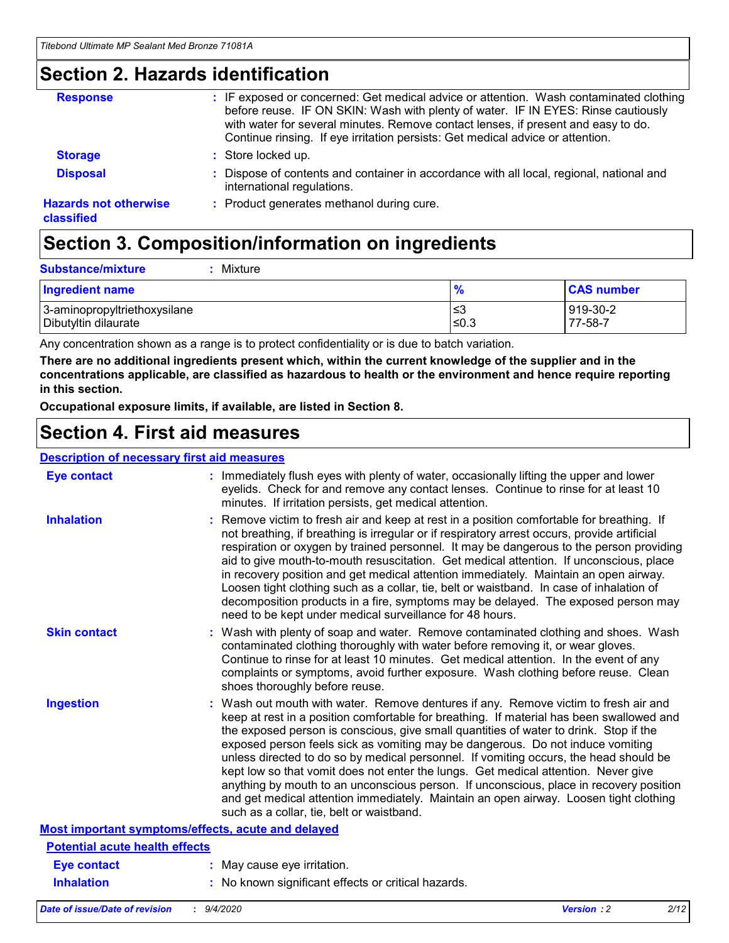### **Section 2. Hazards identification**

| <b>Response</b>                            | : IF exposed or concerned: Get medical advice or attention. Wash contaminated clothing<br>before reuse. IF ON SKIN: Wash with plenty of water. IF IN EYES: Rinse cautiously<br>with water for several minutes. Remove contact lenses, if present and easy to do.<br>Continue rinsing. If eye irritation persists: Get medical advice or attention. |
|--------------------------------------------|----------------------------------------------------------------------------------------------------------------------------------------------------------------------------------------------------------------------------------------------------------------------------------------------------------------------------------------------------|
| <b>Storage</b>                             | : Store locked up.                                                                                                                                                                                                                                                                                                                                 |
| <b>Disposal</b>                            | : Dispose of contents and container in accordance with all local, regional, national and<br>international regulations.                                                                                                                                                                                                                             |
| <b>Hazards not otherwise</b><br>classified | : Product generates methanol during cure.                                                                                                                                                                                                                                                                                                          |

# **Section 3. Composition/information on ingredients**

| $:$ Mixture |
|-------------|
|             |

| <b>Ingredient name</b>       | $\frac{9}{6}$ | <b>CAS number</b> |
|------------------------------|---------------|-------------------|
| 3-aminopropyltriethoxysilane | ≤3            | 919-30-2          |
| Dibutyltin dilaurate         | ∣≤0.3         | 77-58-7           |

Any concentration shown as a range is to protect confidentiality or is due to batch variation.

**There are no additional ingredients present which, within the current knowledge of the supplier and in the concentrations applicable, are classified as hazardous to health or the environment and hence require reporting in this section.**

**Occupational exposure limits, if available, are listed in Section 8.**

### **Section 4. First aid measures**

| <b>Description of necessary first aid measures</b> |                                                                                                                                                                                                                                                                                                                                                                                                                                                                                                                                                                                                                                                                                                                                                                           |
|----------------------------------------------------|---------------------------------------------------------------------------------------------------------------------------------------------------------------------------------------------------------------------------------------------------------------------------------------------------------------------------------------------------------------------------------------------------------------------------------------------------------------------------------------------------------------------------------------------------------------------------------------------------------------------------------------------------------------------------------------------------------------------------------------------------------------------------|
| <b>Eye contact</b>                                 | : Immediately flush eyes with plenty of water, occasionally lifting the upper and lower<br>eyelids. Check for and remove any contact lenses. Continue to rinse for at least 10<br>minutes. If irritation persists, get medical attention.                                                                                                                                                                                                                                                                                                                                                                                                                                                                                                                                 |
| <b>Inhalation</b>                                  | : Remove victim to fresh air and keep at rest in a position comfortable for breathing. If<br>not breathing, if breathing is irregular or if respiratory arrest occurs, provide artificial<br>respiration or oxygen by trained personnel. It may be dangerous to the person providing<br>aid to give mouth-to-mouth resuscitation. Get medical attention. If unconscious, place<br>in recovery position and get medical attention immediately. Maintain an open airway.<br>Loosen tight clothing such as a collar, tie, belt or waistband. In case of inhalation of<br>decomposition products in a fire, symptoms may be delayed. The exposed person may<br>need to be kept under medical surveillance for 48 hours.                                                       |
| <b>Skin contact</b>                                | : Wash with plenty of soap and water. Remove contaminated clothing and shoes. Wash<br>contaminated clothing thoroughly with water before removing it, or wear gloves.<br>Continue to rinse for at least 10 minutes. Get medical attention. In the event of any<br>complaints or symptoms, avoid further exposure. Wash clothing before reuse. Clean<br>shoes thoroughly before reuse.                                                                                                                                                                                                                                                                                                                                                                                     |
| <b>Ingestion</b>                                   | : Wash out mouth with water. Remove dentures if any. Remove victim to fresh air and<br>keep at rest in a position comfortable for breathing. If material has been swallowed and<br>the exposed person is conscious, give small quantities of water to drink. Stop if the<br>exposed person feels sick as vomiting may be dangerous. Do not induce vomiting<br>unless directed to do so by medical personnel. If vomiting occurs, the head should be<br>kept low so that vomit does not enter the lungs. Get medical attention. Never give<br>anything by mouth to an unconscious person. If unconscious, place in recovery position<br>and get medical attention immediately. Maintain an open airway. Loosen tight clothing<br>such as a collar, tie, belt or waistband. |
| Most important symptoms/effects, acute and delayed |                                                                                                                                                                                                                                                                                                                                                                                                                                                                                                                                                                                                                                                                                                                                                                           |
| <b>Potential acute health effects</b>              |                                                                                                                                                                                                                                                                                                                                                                                                                                                                                                                                                                                                                                                                                                                                                                           |
| <b>Eye contact</b>                                 | : May cause eye irritation.                                                                                                                                                                                                                                                                                                                                                                                                                                                                                                                                                                                                                                                                                                                                               |
| <b>Inhalation</b>                                  | : No known significant effects or critical hazards.                                                                                                                                                                                                                                                                                                                                                                                                                                                                                                                                                                                                                                                                                                                       |
|                                                    |                                                                                                                                                                                                                                                                                                                                                                                                                                                                                                                                                                                                                                                                                                                                                                           |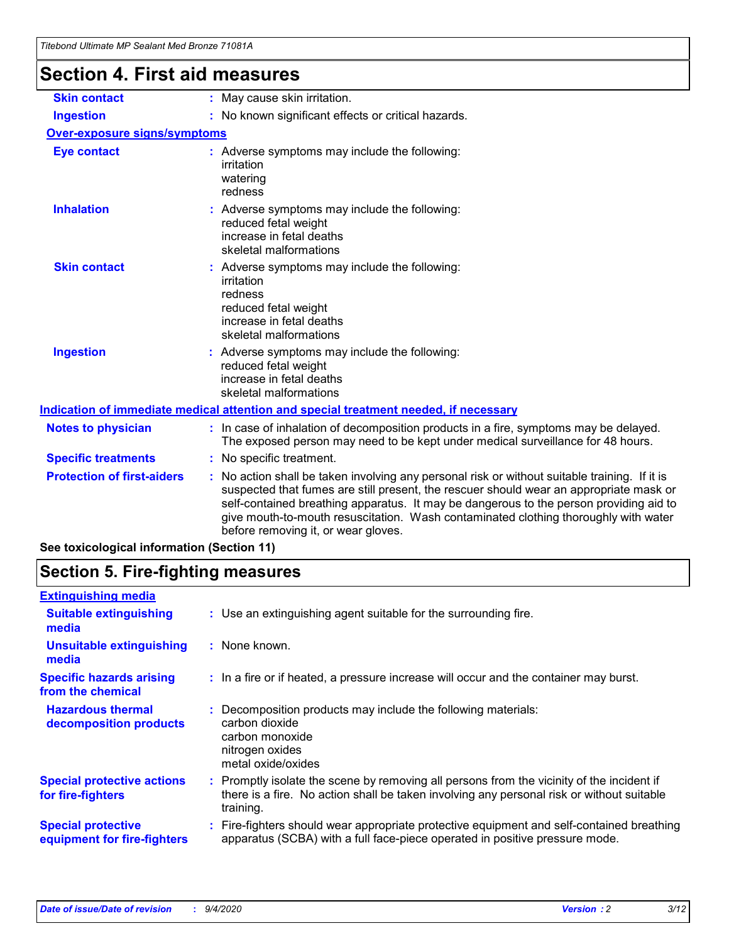# **Section 4. First aid measures**

| <b>Skin contact</b>                        | May cause skin irritation.<br>÷.                                                                                                                                                                                                                                                                                                                                                                              |  |  |
|--------------------------------------------|---------------------------------------------------------------------------------------------------------------------------------------------------------------------------------------------------------------------------------------------------------------------------------------------------------------------------------------------------------------------------------------------------------------|--|--|
| <b>Ingestion</b>                           | No known significant effects or critical hazards.                                                                                                                                                                                                                                                                                                                                                             |  |  |
| <b>Over-exposure signs/symptoms</b>        |                                                                                                                                                                                                                                                                                                                                                                                                               |  |  |
| <b>Eye contact</b>                         | : Adverse symptoms may include the following:<br>irritation<br>watering<br>redness                                                                                                                                                                                                                                                                                                                            |  |  |
| <b>Inhalation</b>                          | : Adverse symptoms may include the following:<br>reduced fetal weight<br>increase in fetal deaths<br>skeletal malformations                                                                                                                                                                                                                                                                                   |  |  |
| <b>Skin contact</b>                        | Adverse symptoms may include the following:<br>irritation<br>redness<br>reduced fetal weight<br>increase in fetal deaths<br>skeletal malformations                                                                                                                                                                                                                                                            |  |  |
| <b>Ingestion</b>                           | : Adverse symptoms may include the following:<br>reduced fetal weight<br>increase in fetal deaths<br>skeletal malformations                                                                                                                                                                                                                                                                                   |  |  |
|                                            | Indication of immediate medical attention and special treatment needed, if necessary                                                                                                                                                                                                                                                                                                                          |  |  |
| <b>Notes to physician</b>                  | : In case of inhalation of decomposition products in a fire, symptoms may be delayed.<br>The exposed person may need to be kept under medical surveillance for 48 hours.                                                                                                                                                                                                                                      |  |  |
| <b>Specific treatments</b>                 | : No specific treatment.                                                                                                                                                                                                                                                                                                                                                                                      |  |  |
| <b>Protection of first-aiders</b>          | No action shall be taken involving any personal risk or without suitable training. If it is<br>suspected that fumes are still present, the rescuer should wear an appropriate mask or<br>self-contained breathing apparatus. It may be dangerous to the person providing aid to<br>give mouth-to-mouth resuscitation. Wash contaminated clothing thoroughly with water<br>before removing it, or wear gloves. |  |  |
| See toxicological information (Section 11) |                                                                                                                                                                                                                                                                                                                                                                                                               |  |  |

# **Section 5. Fire-fighting measures**

| <b>Extinguishing media</b><br>: Use an extinguishing agent suitable for the surrounding fire.<br><b>Suitable extinguishing</b><br>media<br><b>Unsuitable extinguishing</b><br>: None known.<br>media<br><b>Specific hazards arising</b><br>: In a fire or if heated, a pressure increase will occur and the container may burst.<br>from the chemical<br><b>Hazardous thermal</b><br>Decomposition products may include the following materials:<br>carbon dioxide<br>decomposition products<br>carbon monoxide<br>nitrogen oxides<br>metal oxide/oxides<br><b>Special protective actions</b><br>for fire-fighters<br>training.<br><b>Special protective</b> |                             |                                                                                                                                                                                        |
|--------------------------------------------------------------------------------------------------------------------------------------------------------------------------------------------------------------------------------------------------------------------------------------------------------------------------------------------------------------------------------------------------------------------------------------------------------------------------------------------------------------------------------------------------------------------------------------------------------------------------------------------------------------|-----------------------------|----------------------------------------------------------------------------------------------------------------------------------------------------------------------------------------|
|                                                                                                                                                                                                                                                                                                                                                                                                                                                                                                                                                                                                                                                              |                             |                                                                                                                                                                                        |
|                                                                                                                                                                                                                                                                                                                                                                                                                                                                                                                                                                                                                                                              |                             |                                                                                                                                                                                        |
|                                                                                                                                                                                                                                                                                                                                                                                                                                                                                                                                                                                                                                                              |                             |                                                                                                                                                                                        |
|                                                                                                                                                                                                                                                                                                                                                                                                                                                                                                                                                                                                                                                              |                             |                                                                                                                                                                                        |
|                                                                                                                                                                                                                                                                                                                                                                                                                                                                                                                                                                                                                                                              |                             |                                                                                                                                                                                        |
|                                                                                                                                                                                                                                                                                                                                                                                                                                                                                                                                                                                                                                                              |                             | : Promptly isolate the scene by removing all persons from the vicinity of the incident if<br>there is a fire. No action shall be taken involving any personal risk or without suitable |
|                                                                                                                                                                                                                                                                                                                                                                                                                                                                                                                                                                                                                                                              | equipment for fire-fighters | Fire-fighters should wear appropriate protective equipment and self-contained breathing<br>apparatus (SCBA) with a full face-piece operated in positive pressure mode.                 |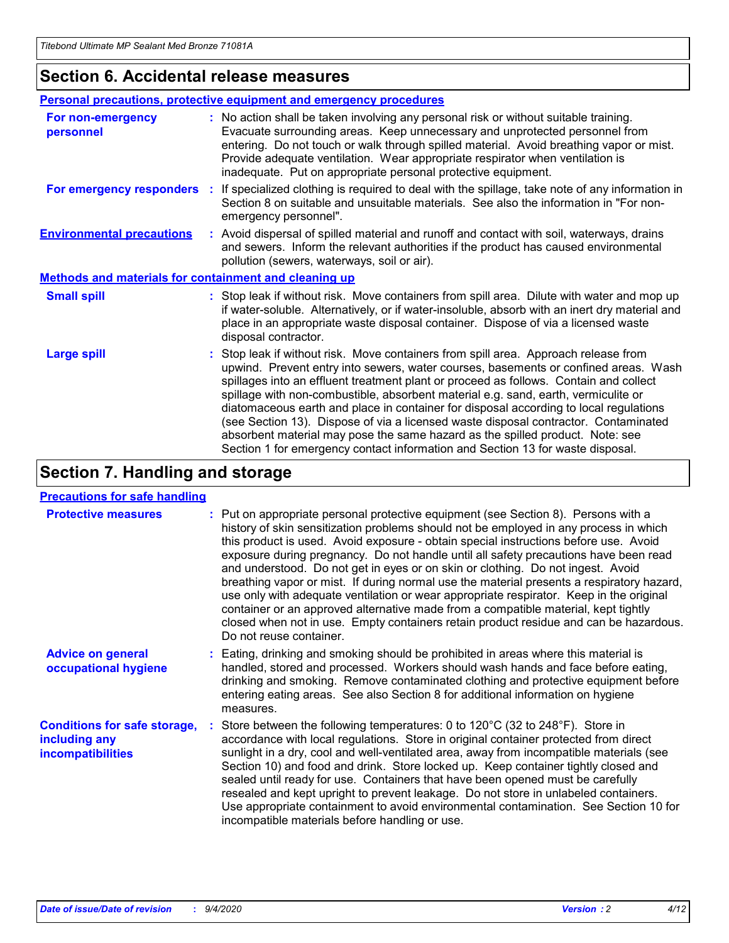### **Section 6. Accidental release measures**

|                                                              | <b>Personal precautions, protective equipment and emergency procedures</b>                                                                                                                                                                                                                                                                                                                                                                                                                                                                                                                                                                                                                                   |
|--------------------------------------------------------------|--------------------------------------------------------------------------------------------------------------------------------------------------------------------------------------------------------------------------------------------------------------------------------------------------------------------------------------------------------------------------------------------------------------------------------------------------------------------------------------------------------------------------------------------------------------------------------------------------------------------------------------------------------------------------------------------------------------|
| For non-emergency<br>personnel                               | : No action shall be taken involving any personal risk or without suitable training.<br>Evacuate surrounding areas. Keep unnecessary and unprotected personnel from<br>entering. Do not touch or walk through spilled material. Avoid breathing vapor or mist.<br>Provide adequate ventilation. Wear appropriate respirator when ventilation is<br>inadequate. Put on appropriate personal protective equipment.                                                                                                                                                                                                                                                                                             |
| For emergency responders                                     | : If specialized clothing is required to deal with the spillage, take note of any information in<br>Section 8 on suitable and unsuitable materials. See also the information in "For non-<br>emergency personnel".                                                                                                                                                                                                                                                                                                                                                                                                                                                                                           |
| <b>Environmental precautions</b>                             | : Avoid dispersal of spilled material and runoff and contact with soil, waterways, drains<br>and sewers. Inform the relevant authorities if the product has caused environmental<br>pollution (sewers, waterways, soil or air).                                                                                                                                                                                                                                                                                                                                                                                                                                                                              |
| <b>Methods and materials for containment and cleaning up</b> |                                                                                                                                                                                                                                                                                                                                                                                                                                                                                                                                                                                                                                                                                                              |
| <b>Small spill</b>                                           | : Stop leak if without risk. Move containers from spill area. Dilute with water and mop up<br>if water-soluble. Alternatively, or if water-insoluble, absorb with an inert dry material and<br>place in an appropriate waste disposal container. Dispose of via a licensed waste<br>disposal contractor.                                                                                                                                                                                                                                                                                                                                                                                                     |
| <b>Large spill</b>                                           | : Stop leak if without risk. Move containers from spill area. Approach release from<br>upwind. Prevent entry into sewers, water courses, basements or confined areas. Wash<br>spillages into an effluent treatment plant or proceed as follows. Contain and collect<br>spillage with non-combustible, absorbent material e.g. sand, earth, vermiculite or<br>diatomaceous earth and place in container for disposal according to local regulations<br>(see Section 13). Dispose of via a licensed waste disposal contractor. Contaminated<br>absorbent material may pose the same hazard as the spilled product. Note: see<br>Section 1 for emergency contact information and Section 13 for waste disposal. |

### **Section 7. Handling and storage**

#### **Precautions for safe handling**

| <b>Protective measures</b>                                                       | : Put on appropriate personal protective equipment (see Section 8). Persons with a<br>history of skin sensitization problems should not be employed in any process in which<br>this product is used. Avoid exposure - obtain special instructions before use. Avoid<br>exposure during pregnancy. Do not handle until all safety precautions have been read<br>and understood. Do not get in eyes or on skin or clothing. Do not ingest. Avoid<br>breathing vapor or mist. If during normal use the material presents a respiratory hazard,<br>use only with adequate ventilation or wear appropriate respirator. Keep in the original<br>container or an approved alternative made from a compatible material, kept tightly<br>closed when not in use. Empty containers retain product residue and can be hazardous.<br>Do not reuse container. |
|----------------------------------------------------------------------------------|--------------------------------------------------------------------------------------------------------------------------------------------------------------------------------------------------------------------------------------------------------------------------------------------------------------------------------------------------------------------------------------------------------------------------------------------------------------------------------------------------------------------------------------------------------------------------------------------------------------------------------------------------------------------------------------------------------------------------------------------------------------------------------------------------------------------------------------------------|
| <b>Advice on general</b><br>occupational hygiene                                 | : Eating, drinking and smoking should be prohibited in areas where this material is<br>handled, stored and processed. Workers should wash hands and face before eating,<br>drinking and smoking. Remove contaminated clothing and protective equipment before<br>entering eating areas. See also Section 8 for additional information on hygiene<br>measures.                                                                                                                                                                                                                                                                                                                                                                                                                                                                                    |
| <b>Conditions for safe storage,</b><br>including any<br><i>incompatibilities</i> | Store between the following temperatures: 0 to 120°C (32 to 248°F). Store in<br>accordance with local regulations. Store in original container protected from direct<br>sunlight in a dry, cool and well-ventilated area, away from incompatible materials (see<br>Section 10) and food and drink. Store locked up. Keep container tightly closed and<br>sealed until ready for use. Containers that have been opened must be carefully<br>resealed and kept upright to prevent leakage. Do not store in unlabeled containers.<br>Use appropriate containment to avoid environmental contamination. See Section 10 for<br>incompatible materials before handling or use.                                                                                                                                                                         |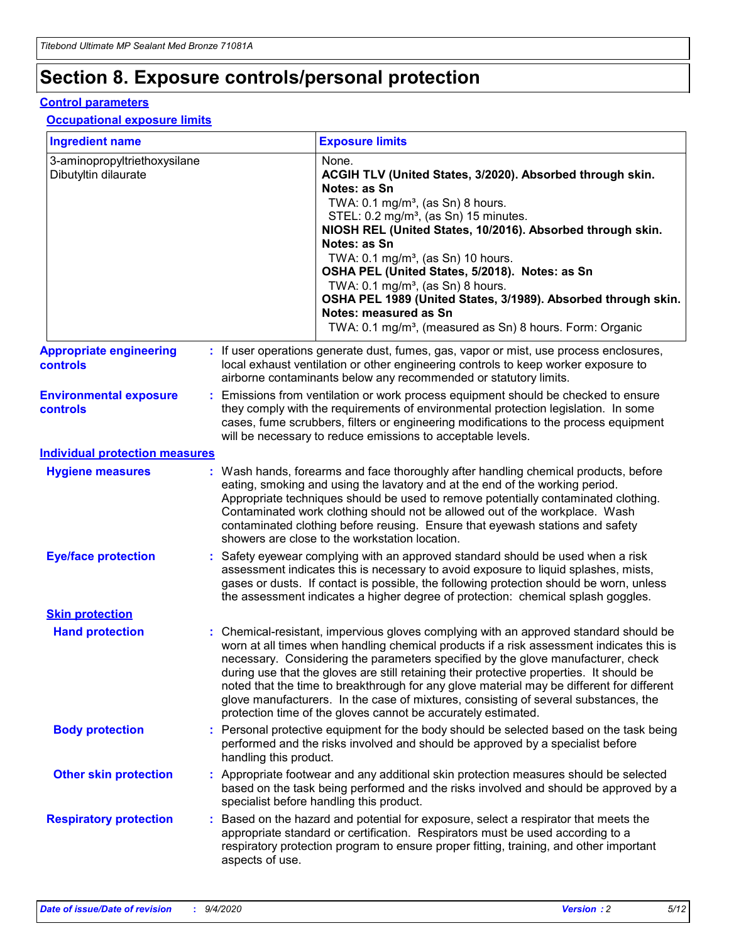## **Section 8. Exposure controls/personal protection**

#### **Control parameters**

#### **Occupational exposure limits**

| <b>Ingredient name</b>                               |    |                        | <b>Exposure limits</b>                                                                                                                                                                                                                                                                                                                                                                                                                                                                                                                                                                                                 |
|------------------------------------------------------|----|------------------------|------------------------------------------------------------------------------------------------------------------------------------------------------------------------------------------------------------------------------------------------------------------------------------------------------------------------------------------------------------------------------------------------------------------------------------------------------------------------------------------------------------------------------------------------------------------------------------------------------------------------|
| 3-aminopropyltriethoxysilane<br>Dibutyltin dilaurate |    |                        | None.<br>ACGIH TLV (United States, 3/2020). Absorbed through skin.<br>Notes: as Sn<br>TWA: $0.1 \text{ mg/m}^3$ , (as Sn) 8 hours.<br>STEL: 0.2 mg/m <sup>3</sup> , (as Sn) 15 minutes.<br>NIOSH REL (United States, 10/2016). Absorbed through skin.<br>Notes: as Sn<br>TWA: 0.1 mg/m <sup>3</sup> , (as Sn) 10 hours.<br>OSHA PEL (United States, 5/2018). Notes: as Sn<br>TWA: 0.1 mg/m <sup>3</sup> , (as Sn) 8 hours.<br>OSHA PEL 1989 (United States, 3/1989). Absorbed through skin.<br>Notes: measured as Sn<br>TWA: 0.1 mg/m <sup>3</sup> , (measured as Sn) 8 hours. Form: Organic                           |
| <b>Appropriate engineering</b><br>controls           |    |                        | : If user operations generate dust, fumes, gas, vapor or mist, use process enclosures,<br>local exhaust ventilation or other engineering controls to keep worker exposure to<br>airborne contaminants below any recommended or statutory limits.                                                                                                                                                                                                                                                                                                                                                                       |
| <b>Environmental exposure</b><br>controls            |    |                        | Emissions from ventilation or work process equipment should be checked to ensure<br>they comply with the requirements of environmental protection legislation. In some<br>cases, fume scrubbers, filters or engineering modifications to the process equipment<br>will be necessary to reduce emissions to acceptable levels.                                                                                                                                                                                                                                                                                          |
| <b>Individual protection measures</b>                |    |                        |                                                                                                                                                                                                                                                                                                                                                                                                                                                                                                                                                                                                                        |
| <b>Hygiene measures</b>                              |    |                        | : Wash hands, forearms and face thoroughly after handling chemical products, before<br>eating, smoking and using the lavatory and at the end of the working period.<br>Appropriate techniques should be used to remove potentially contaminated clothing.<br>Contaminated work clothing should not be allowed out of the workplace. Wash<br>contaminated clothing before reusing. Ensure that eyewash stations and safety<br>showers are close to the workstation location.                                                                                                                                            |
| <b>Eye/face protection</b>                           |    |                        | Safety eyewear complying with an approved standard should be used when a risk<br>assessment indicates this is necessary to avoid exposure to liquid splashes, mists,<br>gases or dusts. If contact is possible, the following protection should be worn, unless<br>the assessment indicates a higher degree of protection: chemical splash goggles.                                                                                                                                                                                                                                                                    |
| <b>Skin protection</b>                               |    |                        |                                                                                                                                                                                                                                                                                                                                                                                                                                                                                                                                                                                                                        |
| <b>Hand protection</b>                               |    |                        | : Chemical-resistant, impervious gloves complying with an approved standard should be<br>worn at all times when handling chemical products if a risk assessment indicates this is<br>necessary. Considering the parameters specified by the glove manufacturer, check<br>during use that the gloves are still retaining their protective properties. It should be<br>noted that the time to breakthrough for any glove material may be different for different<br>glove manufacturers. In the case of mixtures, consisting of several substances, the<br>protection time of the gloves cannot be accurately estimated. |
| <b>Body protection</b>                               |    | handling this product. | Personal protective equipment for the body should be selected based on the task being<br>performed and the risks involved and should be approved by a specialist before                                                                                                                                                                                                                                                                                                                                                                                                                                                |
| <b>Other skin protection</b>                         |    |                        | : Appropriate footwear and any additional skin protection measures should be selected<br>based on the task being performed and the risks involved and should be approved by a<br>specialist before handling this product.                                                                                                                                                                                                                                                                                                                                                                                              |
| <b>Respiratory protection</b>                        | ÷. | aspects of use.        | Based on the hazard and potential for exposure, select a respirator that meets the<br>appropriate standard or certification. Respirators must be used according to a<br>respiratory protection program to ensure proper fitting, training, and other important                                                                                                                                                                                                                                                                                                                                                         |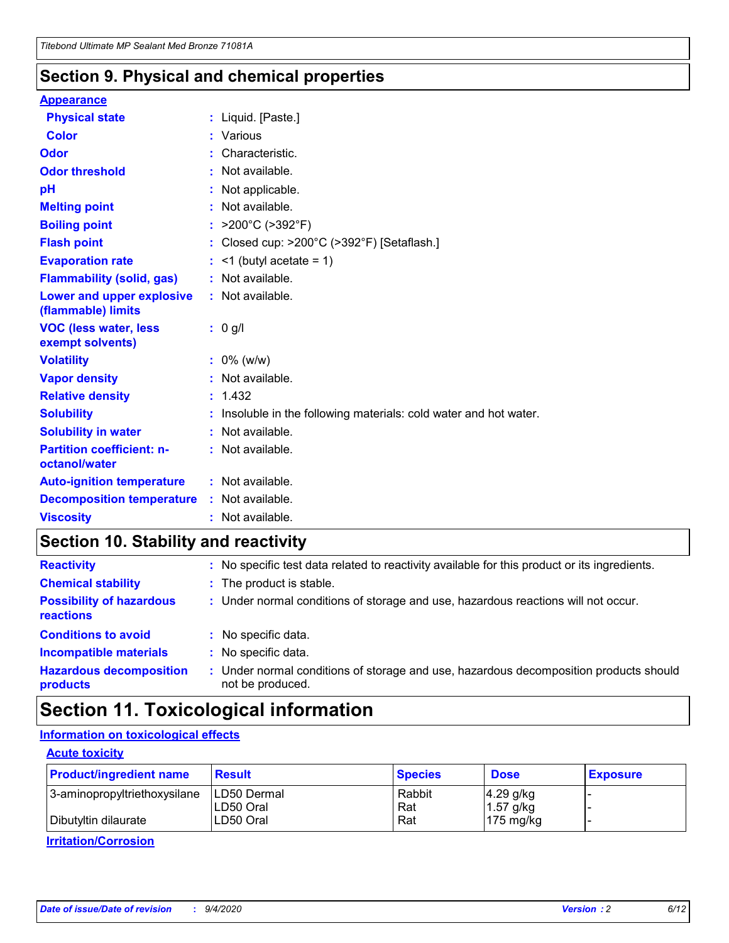### **Section 9. Physical and chemical properties**

#### **Appearance**

| <b>Physical state</b>                             | : Liquid. [Paste.]                                              |
|---------------------------------------------------|-----------------------------------------------------------------|
| Color                                             | Various                                                         |
| Odor                                              | : Characteristic.                                               |
| <b>Odor threshold</b>                             | : Not available.                                                |
| рH                                                | : Not applicable.                                               |
| <b>Melting point</b>                              | : Not available.                                                |
| <b>Boiling point</b>                              | : $>200^{\circ}$ C ( $>392^{\circ}$ F)                          |
| <b>Flash point</b>                                | : Closed cup: >200°C (>392°F) [Setaflash.]                      |
| <b>Evaporation rate</b>                           | $:$ <1 (butyl acetate = 1)                                      |
| <b>Flammability (solid, gas)</b>                  | : Not available.                                                |
| Lower and upper explosive<br>(flammable) limits   | $:$ Not available.                                              |
| <b>VOC (less water, less</b><br>exempt solvents)  | : 0 g/l                                                         |
| <b>Volatility</b>                                 | $: 0\%$ (w/w)                                                   |
| <b>Vapor density</b>                              | : Not available.                                                |
| <b>Relative density</b>                           | : 1.432                                                         |
|                                                   |                                                                 |
| <b>Solubility</b>                                 | Insoluble in the following materials: cold water and hot water. |
| <b>Solubility in water</b>                        | : Not available.                                                |
| <b>Partition coefficient: n-</b><br>octanol/water | $:$ Not available.                                              |
| <b>Auto-ignition temperature</b>                  | : Not available.                                                |
| <b>Decomposition temperature</b>                  | : Not available.                                                |

### **Section 10. Stability and reactivity**

| <b>Reactivity</b>                            | : No specific test data related to reactivity available for this product or its ingredients.            |
|----------------------------------------------|---------------------------------------------------------------------------------------------------------|
| <b>Chemical stability</b>                    | : The product is stable.                                                                                |
| <b>Possibility of hazardous</b><br>reactions | : Under normal conditions of storage and use, hazardous reactions will not occur.                       |
| <b>Conditions to avoid</b>                   | : No specific data.                                                                                     |
| <b>Incompatible materials</b>                | : No specific data.                                                                                     |
| <b>Hazardous decomposition</b><br>products   | Under normal conditions of storage and use, hazardous decomposition products should<br>not be produced. |

### **Section 11. Toxicological information**

### **Information on toxicological effects**

#### **Acute toxicity**

| <b>Product/ingredient name</b> | <b>Result</b>           | <b>Species</b> | <b>Dose</b>                | <b>Exposure</b> |
|--------------------------------|-------------------------|----------------|----------------------------|-----------------|
| 3-aminopropyltriethoxysilane   | <b>ILD50 Dermal</b>     | Rabbit         | 4.29 g/kg                  |                 |
| Dibutyltin dilaurate           | ILD50 Oral<br>LD50 Oral | Rat<br>Rat     | $1.57$ g/kg<br>175 $mg/kg$ |                 |
|                                |                         |                |                            |                 |

**Irritation/Corrosion**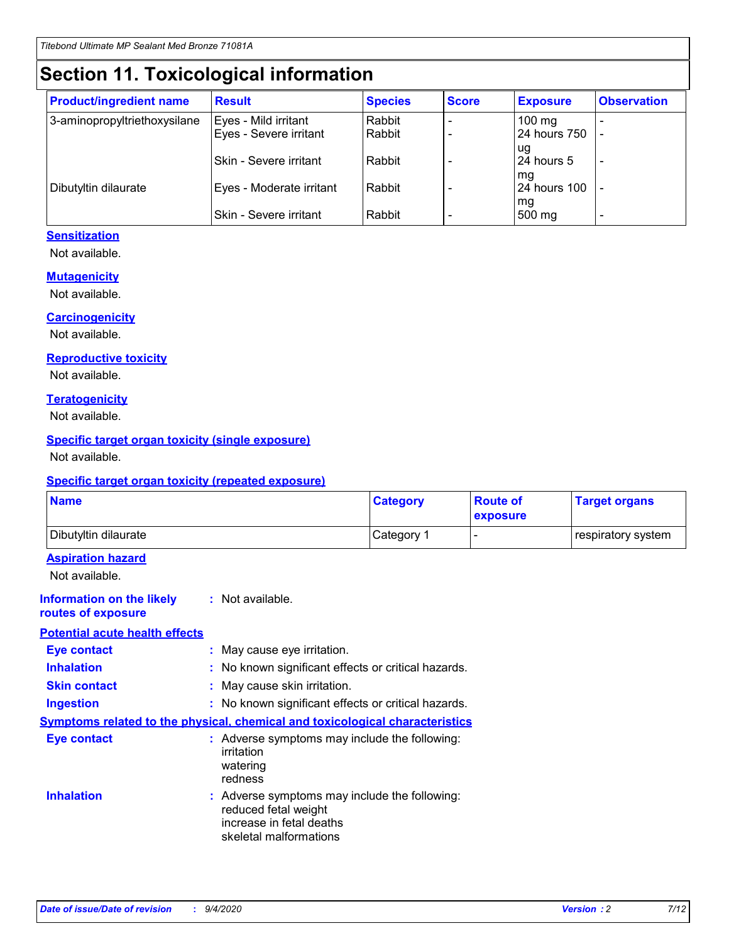# **Section 11. Toxicological information**

| <b>Product/ingredient name</b> | <b>Result</b>                 | <b>Species</b> | <b>Score</b> | <b>Exposure</b>    | <b>Observation</b> |
|--------------------------------|-------------------------------|----------------|--------------|--------------------|--------------------|
| 3-aminopropyltriethoxysilane   | Eyes - Mild irritant          | Rabbit         |              | $100 \text{ mg}$   |                    |
|                                | Eyes - Severe irritant        | Rabbit         |              | 24 hours 750       |                    |
|                                |                               |                |              | ug                 |                    |
|                                | <b>Skin - Severe irritant</b> | Rabbit         |              | 24 hours 5         | -                  |
| Dibutyltin dilaurate           | Eyes - Moderate irritant      | Rabbit         |              | mq<br>24 hours 100 |                    |
|                                |                               |                |              | mg                 |                    |
|                                | Skin - Severe irritant        | Rabbit         |              | 500 mg             |                    |

#### **Sensitization**

Not available.

#### **Mutagenicity**

Not available.

#### **Carcinogenicity**

Not available.

#### **Reproductive toxicity**

Not available.

#### **Teratogenicity**

Not available.

#### **Specific target organ toxicity (single exposure)**

Not available.

#### **Specific target organ toxicity (repeated exposure)**

| <b>Name</b>                                                                  |                                                                                                                             | <b>Category</b>                                     | <b>Route of</b><br>exposure  | <b>Target organs</b> |  |  |
|------------------------------------------------------------------------------|-----------------------------------------------------------------------------------------------------------------------------|-----------------------------------------------------|------------------------------|----------------------|--|--|
| Dibutyltin dilaurate                                                         |                                                                                                                             | Category 1                                          | $\qquad \qquad \blacksquare$ | respiratory system   |  |  |
| <b>Aspiration hazard</b><br>Not available.                                   |                                                                                                                             |                                                     |                              |                      |  |  |
| <b>Information on the likely</b><br>routes of exposure                       | : Not available.                                                                                                            |                                                     |                              |                      |  |  |
| <b>Potential acute health effects</b>                                        |                                                                                                                             |                                                     |                              |                      |  |  |
| <b>Eye contact</b>                                                           | : May cause eye irritation.                                                                                                 |                                                     |                              |                      |  |  |
| <b>Inhalation</b>                                                            |                                                                                                                             | : No known significant effects or critical hazards. |                              |                      |  |  |
| <b>Skin contact</b>                                                          |                                                                                                                             | : May cause skin irritation.                        |                              |                      |  |  |
| <b>Ingestion</b>                                                             |                                                                                                                             | : No known significant effects or critical hazards. |                              |                      |  |  |
| Symptoms related to the physical, chemical and toxicological characteristics |                                                                                                                             |                                                     |                              |                      |  |  |
| <b>Eye contact</b>                                                           | : Adverse symptoms may include the following:<br>irritation<br>watering<br>redness                                          |                                                     |                              |                      |  |  |
| <b>Inhalation</b>                                                            | : Adverse symptoms may include the following:<br>reduced fetal weight<br>increase in fetal deaths<br>skeletal malformations |                                                     |                              |                      |  |  |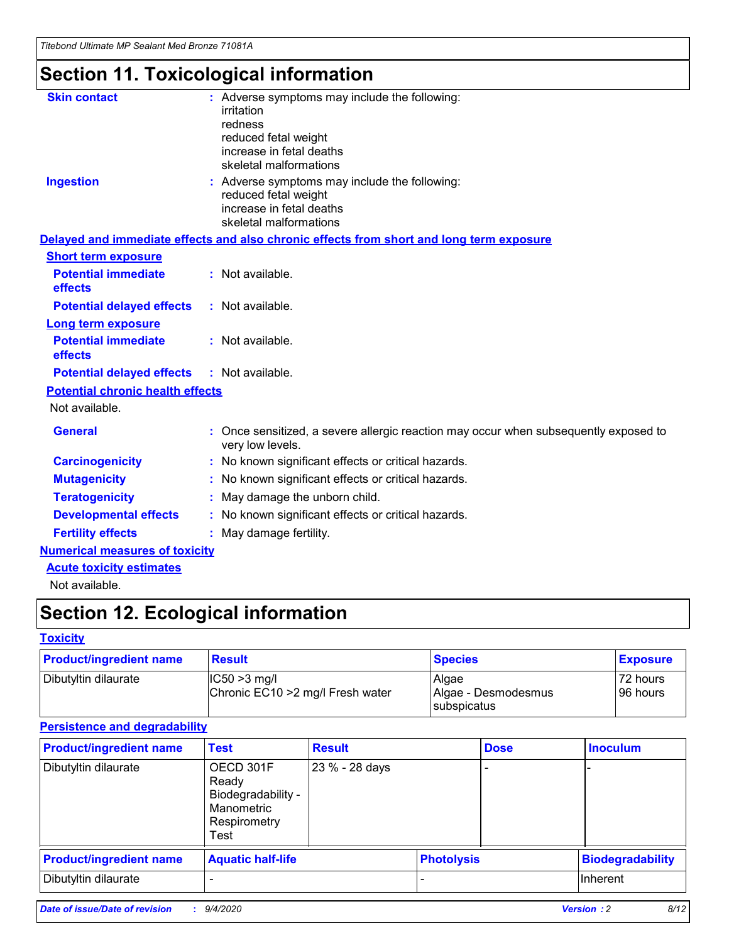*Titebond Ultimate MP Sealant Med Bronze 71081A*

# **Section 11. Toxicological information**

| <b>Skin contact</b>                     | : Adverse symptoms may include the following:                                                          |
|-----------------------------------------|--------------------------------------------------------------------------------------------------------|
|                                         | irritation                                                                                             |
|                                         | redness                                                                                                |
|                                         | reduced fetal weight                                                                                   |
|                                         | increase in fetal deaths                                                                               |
|                                         | skeletal malformations                                                                                 |
| <b>Ingestion</b>                        | : Adverse symptoms may include the following:                                                          |
|                                         | reduced fetal weight                                                                                   |
|                                         | increase in fetal deaths                                                                               |
|                                         | skeletal malformations                                                                                 |
|                                         | Delayed and immediate effects and also chronic effects from short and long term exposure               |
| <b>Short term exposure</b>              |                                                                                                        |
| <b>Potential immediate</b>              | : Not available.                                                                                       |
| effects                                 |                                                                                                        |
| <b>Potential delayed effects</b>        | : Not available.                                                                                       |
| <b>Long term exposure</b>               |                                                                                                        |
| <b>Potential immediate</b>              | : Not available.                                                                                       |
| effects                                 |                                                                                                        |
| <b>Potential delayed effects</b>        | : Not available.                                                                                       |
| <b>Potential chronic health effects</b> |                                                                                                        |
| Not available.                          |                                                                                                        |
| <b>General</b>                          | Once sensitized, a severe allergic reaction may occur when subsequently exposed to<br>very low levels. |
| <b>Carcinogenicity</b>                  | : No known significant effects or critical hazards.                                                    |
| <b>Mutagenicity</b>                     | : No known significant effects or critical hazards.                                                    |
| <b>Teratogenicity</b>                   | May damage the unborn child.                                                                           |
| <b>Developmental effects</b>            | : No known significant effects or critical hazards.                                                    |
| <b>Fertility effects</b>                | : May damage fertility.                                                                                |
| <b>Numerical measures of toxicity</b>   |                                                                                                        |
| <b>Acute toxicity estimates</b>         |                                                                                                        |
| الملمانون والملك                        |                                                                                                        |

Not available.

## **Section 12. Ecological information**

#### **Toxicity**

| <b>Product/ingredient name</b> | <b>Result</b>                                       | <b>Species</b>               | <b>Exposure</b>       |
|--------------------------------|-----------------------------------------------------|------------------------------|-----------------------|
| Dibutyltin dilaurate           | $ CC50>3$ mg/l<br>Chronic EC10 > 2 mg/l Fresh water | Algae<br>Algae - Desmodesmus | 72 hours<br>196 hours |
|                                |                                                     | <b>I</b> subspicatus         |                       |

#### **Persistence and degradability**

| <b>Product/ingredient name</b> | <b>Test</b>                                                                    | <b>Result</b>  |                   | <b>Dose</b> | <b>Inoculum</b>         |
|--------------------------------|--------------------------------------------------------------------------------|----------------|-------------------|-------------|-------------------------|
| Dibutyltin dilaurate           | OECD 301F<br>Ready<br>Biodegradability -<br>Manometric<br>Respirometry<br>Test | 23 % - 28 days |                   |             |                         |
| <b>Product/ingredient name</b> | <b>Aquatic half-life</b>                                                       |                | <b>Photolysis</b> |             | <b>Biodegradability</b> |
| Dibutyltin dilaurate           |                                                                                |                |                   |             | <b>Inherent</b>         |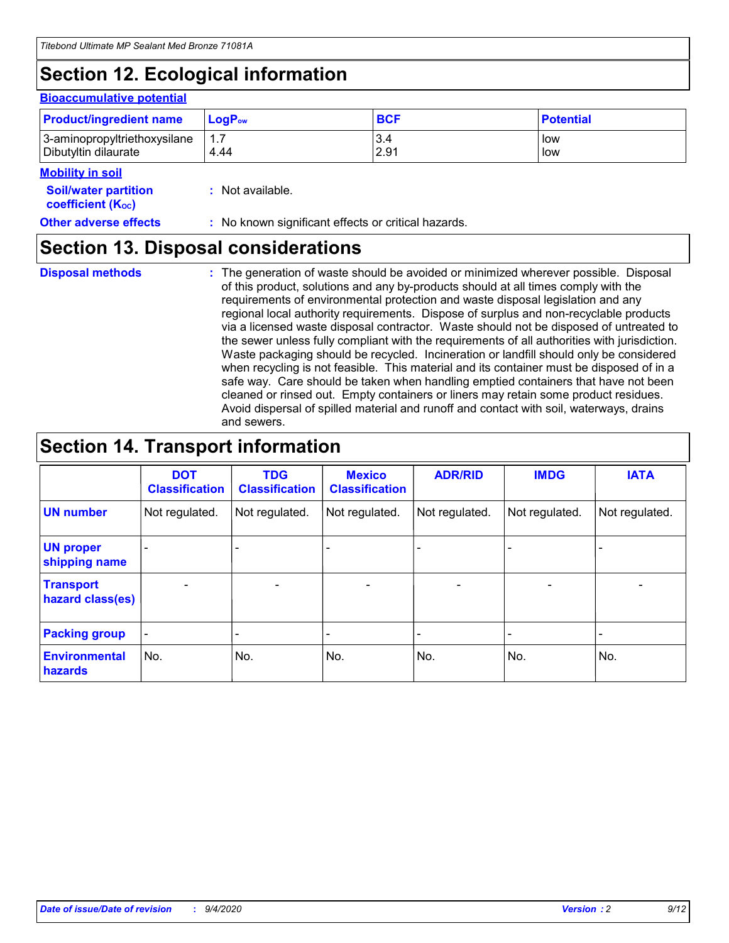## **Section 12. Ecological information**

#### **Bioaccumulative potential**

| <b>Product/ingredient name</b> | $LoaPow$ | <b>BCF</b> | <b>Potential</b> |
|--------------------------------|----------|------------|------------------|
| 3-aminopropyltriethoxysilane   | 1.7      | 3.4        | low              |
| Dibutyltin dilaurate           | 4.44     | 2.91       | low              |

#### **Mobility in soil**

| <b>Soil/water partition</b>           | : Not available. |
|---------------------------------------|------------------|
| <b>coefficient</b> (K <sub>oc</sub> ) |                  |

#### **Other adverse effects** : No known significant effects or critical hazards.

### **Section 13. Disposal considerations**

**Disposal methods :**

The generation of waste should be avoided or minimized wherever possible. Disposal of this product, solutions and any by-products should at all times comply with the requirements of environmental protection and waste disposal legislation and any regional local authority requirements. Dispose of surplus and non-recyclable products via a licensed waste disposal contractor. Waste should not be disposed of untreated to the sewer unless fully compliant with the requirements of all authorities with jurisdiction. Waste packaging should be recycled. Incineration or landfill should only be considered when recycling is not feasible. This material and its container must be disposed of in a safe way. Care should be taken when handling emptied containers that have not been cleaned or rinsed out. Empty containers or liners may retain some product residues. Avoid dispersal of spilled material and runoff and contact with soil, waterways, drains and sewers.

### **Section 14. Transport information**

|                                      | <b>DOT</b><br><b>Classification</b> | <b>TDG</b><br><b>Classification</b> | <b>Mexico</b><br><b>Classification</b> | <b>ADR/RID</b>           | <b>IMDG</b>              | <b>IATA</b>    |
|--------------------------------------|-------------------------------------|-------------------------------------|----------------------------------------|--------------------------|--------------------------|----------------|
| <b>UN number</b>                     | Not regulated.                      | Not regulated.                      | Not regulated.                         | Not regulated.           | Not regulated.           | Not regulated. |
| <b>UN proper</b><br>shipping name    |                                     |                                     |                                        |                          |                          |                |
| <b>Transport</b><br>hazard class(es) |                                     | $\overline{\phantom{0}}$            | $\qquad \qquad \blacksquare$           | $\overline{\phantom{0}}$ | $\overline{\phantom{0}}$ |                |
| <b>Packing group</b>                 |                                     |                                     |                                        |                          |                          |                |
| <b>Environmental</b><br>hazards      | No.                                 | No.                                 | No.                                    | No.                      | No.                      | No.            |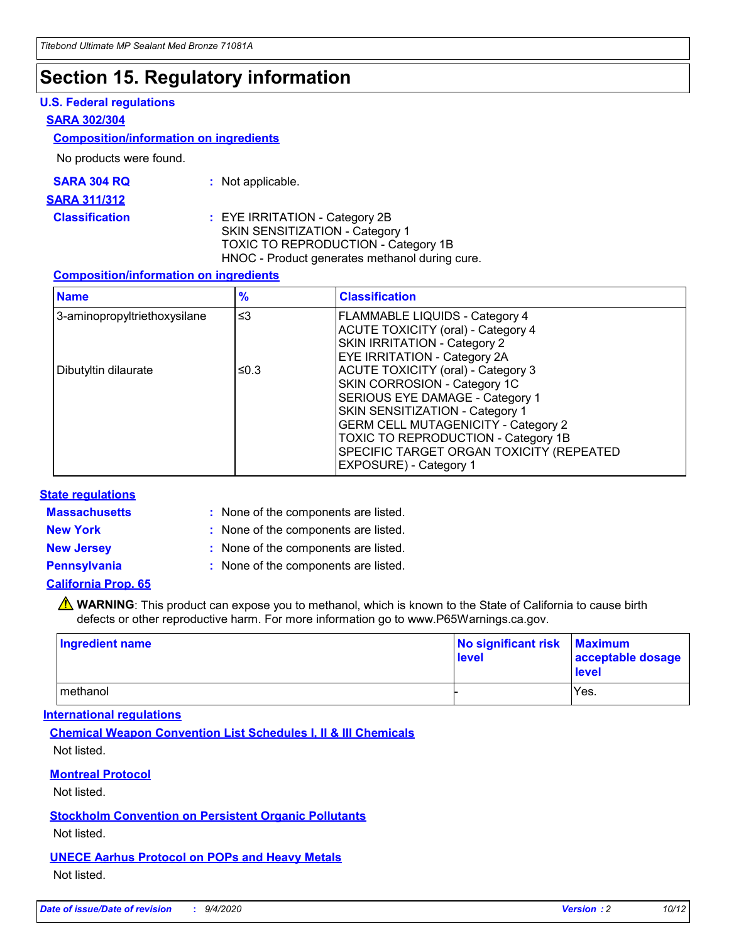### **Section 15. Regulatory information**

#### **U.S. Federal regulations**

#### **SARA 302/304**

#### **Composition/information on ingredients**

No products were found.

| SARA 304 RQ | Not applicable. |
|-------------|-----------------|
|-------------|-----------------|

#### **SARA 311/312**

#### **Classification :** EYE IRRITATION - Category 2B SKIN SENSITIZATION - Category 1 TOXIC TO REPRODUCTION - Category 1B HNOC - Product generates methanol during cure.

#### **Composition/information on ingredients**

| <b>Name</b>                  | $\frac{9}{6}$ | <b>Classification</b>                                                                                                                                                                                                                                                                                      |
|------------------------------|---------------|------------------------------------------------------------------------------------------------------------------------------------------------------------------------------------------------------------------------------------------------------------------------------------------------------------|
| 3-aminopropyltriethoxysilane | $\leq$ 3      | <b>FLAMMABLE LIQUIDS - Category 4</b><br><b>ACUTE TOXICITY (oral) - Category 4</b><br><b>SKIN IRRITATION - Category 2</b><br>EYE IRRITATION - Category 2A                                                                                                                                                  |
| Dibutyltin dilaurate         | ≤0.3          | <b>ACUTE TOXICITY (oral) - Category 3</b><br>SKIN CORROSION - Category 1C<br>SERIOUS EYE DAMAGE - Category 1<br>SKIN SENSITIZATION - Category 1<br><b>GERM CELL MUTAGENICITY - Category 2</b><br>TOXIC TO REPRODUCTION - Category 1B<br>SPECIFIC TARGET ORGAN TOXICITY (REPEATED<br>EXPOSURE) - Category 1 |

#### **State regulations**

**Massachusetts :**

: None of the components are listed.

**New York :** None of the components are listed. **New Jersey :** None of the components are listed.

**Pennsylvania :** None of the components are listed.

#### **California Prop. 65**

WARNING: This product can expose you to methanol, which is known to the State of California to cause birth defects or other reproductive harm. For more information go to www.P65Warnings.ca.gov.

| Ingredient name | No significant risk<br>level | <b>Maximum</b><br>acceptable dosage<br><b>level</b> |
|-----------------|------------------------------|-----------------------------------------------------|
| l methanol      |                              | Yes.                                                |

#### **International regulations**

**Chemical Weapon Convention List Schedules I, II & III Chemicals** Not listed.

#### **Montreal Protocol**

Not listed.

**Stockholm Convention on Persistent Organic Pollutants**

Not listed.

#### **UNECE Aarhus Protocol on POPs and Heavy Metals** Not listed.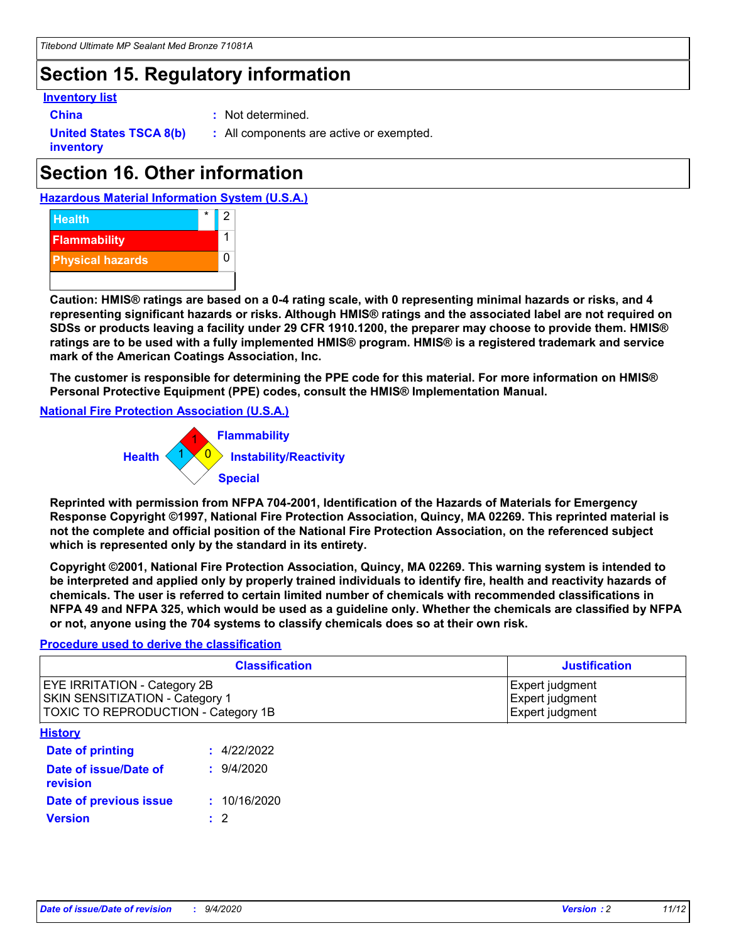### **Section 15. Regulatory information**

#### **Inventory list**

- 
- **China :** Not determined.

**United States TSCA 8(b) inventory**

**:** All components are active or exempted.

## **Section 16. Other information**





**Caution: HMIS® ratings are based on a 0-4 rating scale, with 0 representing minimal hazards or risks, and 4 representing significant hazards or risks. Although HMIS® ratings and the associated label are not required on SDSs or products leaving a facility under 29 CFR 1910.1200, the preparer may choose to provide them. HMIS® ratings are to be used with a fully implemented HMIS® program. HMIS® is a registered trademark and service mark of the American Coatings Association, Inc.**

**The customer is responsible for determining the PPE code for this material. For more information on HMIS® Personal Protective Equipment (PPE) codes, consult the HMIS® Implementation Manual.**

**National Fire Protection Association (U.S.A.)**



**Reprinted with permission from NFPA 704-2001, Identification of the Hazards of Materials for Emergency Response Copyright ©1997, National Fire Protection Association, Quincy, MA 02269. This reprinted material is not the complete and official position of the National Fire Protection Association, on the referenced subject which is represented only by the standard in its entirety.**

**Copyright ©2001, National Fire Protection Association, Quincy, MA 02269. This warning system is intended to be interpreted and applied only by properly trained individuals to identify fire, health and reactivity hazards of chemicals. The user is referred to certain limited number of chemicals with recommended classifications in NFPA 49 and NFPA 325, which would be used as a guideline only. Whether the chemicals are classified by NFPA or not, anyone using the 704 systems to classify chemicals does so at their own risk.**

#### **Procedure used to derive the classification**

| <b>Classification</b>                                                                                                | <b>Justification</b>                                  |
|----------------------------------------------------------------------------------------------------------------------|-------------------------------------------------------|
| <b>EYE IRRITATION - Category 2B</b><br><b>SKIN SENSITIZATION - Category 1</b><br>TOXIC TO REPRODUCTION - Category 1B | Expert judgment<br>Expert judgment<br>Expert judgment |
| <b>History</b>                                                                                                       |                                                       |

| .                                 |              |
|-----------------------------------|--------------|
| Date of printing                  | : 4/22/2022  |
| Date of issue/Date of<br>revision | 9/4/2020     |
| Date of previous issue            | : 10/16/2020 |
| <b>Version</b>                    | $\cdot$ 2    |
|                                   |              |